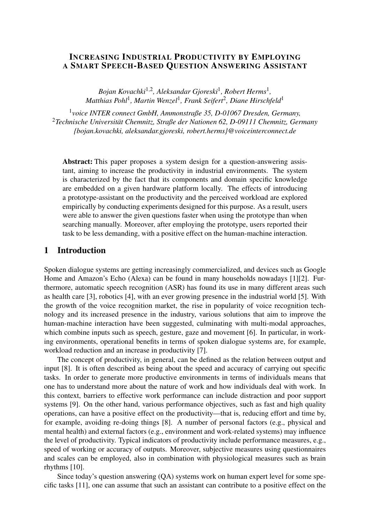### INCREASING INDUSTRIAL PRODUCTIVITY BY EMPLOYING A SMART SPEECH-BASED QUESTION ANSWERING ASSISTANT

*Bojan Kovachki*1,<sup>2</sup> *, Aleksandar Gjoreski*<sup>1</sup> *, Robert Herms*<sup>1</sup> *, Matthias Pohl*<sup>1</sup> *, Martin Wenzel*<sup>1</sup> *, Frank Seifert*<sup>2</sup> *, Diane Hirschfeld*<sup>1</sup>

1 *voice INTER connect GmbH, Ammonstraße 35, D-01067 Dresden, Germany,* <sup>2</sup>*Technische Universität Chemnitz, Straße der Nationen 62, D-09111 Chemnitz, Germany [{bojan.kovachki,](mailto:bojan.kovachki@voiceinterconnect.de) [aleksandar.gjoreski,](mailto:aleksandar.gjoreski@voiceinterconnect.de) [robert.herms}](mailto:robert.herms@voiceinterconnect.de)@voiceinterconnect.de*

Abstract: This paper proposes a system design for a question-answering assistant, aiming to increase the productivity in industrial environments. The system is characterized by the fact that its components and domain specific knowledge are embedded on a given hardware platform locally. The effects of introducing a prototype-assistant on the productivity and the perceived workload are explored empirically by conducting experiments designed for this purpose. As a result, users were able to answer the given questions faster when using the prototype than when searching manually. Moreover, after employing the prototype, users reported their task to be less demanding, with a positive effect on the human-machine interaction.

## 1 Introduction

Spoken dialogue systems are getting increasingly commercialized, and devices such as Google Home and Amazon's Echo (Alexa) can be found in many households nowadays [\[1\]](#page-6-0)[\[2\]](#page-6-1). Furthermore, automatic speech recognition (ASR) has found its use in many different areas such as health care [\[3\]](#page-6-2), robotics [\[4\]](#page-6-3), with an ever growing presence in the industrial world [\[5\]](#page-6-4). With the growth of the voice recognition market, the rise in popularity of voice recognition technology and its increased presence in the industry, various solutions that aim to improve the human-machine interaction have been suggested, culminating with multi-modal approaches, which combine inputs such as speech, gesture, gaze and movement [\[6\]](#page-6-5). In particular, in working environments, operational benefits in terms of spoken dialogue systems are, for example, workload reduction and an increase in productivity [\[7\]](#page-6-6).

The concept of productivity, in general, can be defined as the relation between output and input [\[8\]](#page-6-7). It is often described as being about the speed and accuracy of carrying out specific tasks. In order to generate more productive environments in terms of individuals means that one has to understand more about the nature of work and how individuals deal with work. In this context, barriers to effective work performance can include distraction and poor support systems [\[9\]](#page-7-0). On the other hand, various performance objectives, such as fast and high quality operations, can have a positive effect on the productivity—that is, reducing effort and time by, for example, avoiding re-doing things [\[8\]](#page-6-7). A number of personal factors (e.g., physical and mental health) and external factors (e.g., environment and work-related systems) may influence the level of productivity. Typical indicators of productivity include performance measures, e.g., speed of working or accuracy of outputs. Moreover, subjective measures using questionnaires and scales can be employed, also in combination with physiological measures such as brain rhythms [\[10\]](#page-7-1).

Since today's question answering (QA) systems work on human expert level for some specific tasks [\[11\]](#page-7-2), one can assume that such an assistant can contribute to a positive effect on the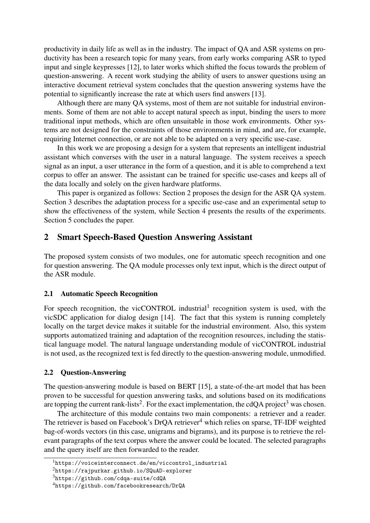productivity in daily life as well as in the industry. The impact of QA and ASR systems on productivity has been a research topic for many years, from early works comparing ASR to typed input and single keypresses [\[12\]](#page-7-3), to later works which shifted the focus towards the problem of question-answering. A recent work studying the ability of users to answer questions using an interactive document retrieval system concludes that the question answering systems have the potential to significantly increase the rate at which users find answers [\[13\]](#page-7-4).

Although there are many QA systems, most of them are not suitable for industrial environments. Some of them are not able to accept natural speech as input, binding the users to more traditional input methods, which are often unsuitable in those work environments. Other systems are not designed for the constraints of those environments in mind, and are, for example, requiring Internet connection, or are not able to be adapted on a very specific use-case.

In this work we are proposing a design for a system that represents an intelligent industrial assistant which converses with the user in a natural language. The system receives a speech signal as an input, a user utterance in the form of a question, and it is able to comprehend a text corpus to offer an answer. The assistant can be trained for specific use-cases and keeps all of the data locally and solely on the given hardware platforms.

This paper is organized as follows: Section [2](#page-1-0) proposes the design for the ASR QA system. Section [3](#page-2-0) describes the adaptation process for a specific use-case and an experimental setup to show the effectiveness of the system, while Section [4](#page-3-0) presents the results of the experiments. Section [5](#page-6-8) concludes the paper.

### <span id="page-1-0"></span>2 Smart Speech-Based Question Answering Assistant

The proposed system consists of two modules, one for automatic speech recognition and one for question answering. The QA module processes only text input, which is the direct output of the ASR module.

#### 2.1 Automatic Speech Recognition

For speech recognition, the vicCONTROL industrial<sup>[1](#page-1-1)</sup> recognition system is used, with the vicSDC application for dialog design [\[14\]](#page-7-5). The fact that this system is running completely locally on the target device makes it suitable for the industrial environment. Also, this system supports automatized training and adaptation of the recognition resources, including the statistical language model. The natural language understanding module of vicCONTROL industrial is not used, as the recognized text is fed directly to the question-answering module, unmodified.

#### 2.2 Question-Answering

The question-answering module is based on BERT [\[15\]](#page-7-6), a state-of-the-art model that has been proven to be successful for question answering tasks, and solutions based on its modifications are topping the current rank-lists<sup>[2](#page-1-2)</sup>. For the exact implementation, the cdQA project<sup>[3](#page-1-3)</sup> was chosen.

The architecture of this module contains two main components: a retriever and a reader. The retriever is based on Facebook's DrQA retriever<sup>[4](#page-1-4)</sup> which relies on sparse, TF-IDF weighted bag-of-words vectors (in this case, unigrams and bigrams), and its purpose is to retrieve the relevant paragraphs of the text corpus where the answer could be located. The selected paragraphs and the query itself are then forwarded to the reader.

<span id="page-1-1"></span><sup>1</sup>[https://voiceinterconnect.de/en/viccontrol\\_industrial](https://voiceinterconnect.de/en/viccontrol_industrial)

<span id="page-1-2"></span><sup>2</sup><https://rajpurkar.github.io/SQuAD-explorer>

<span id="page-1-3"></span><sup>3</sup><https://github.com/cdqa-suite/cdQA>

<span id="page-1-4"></span><sup>4</sup><https://github.com/facebookresearch/DrQA>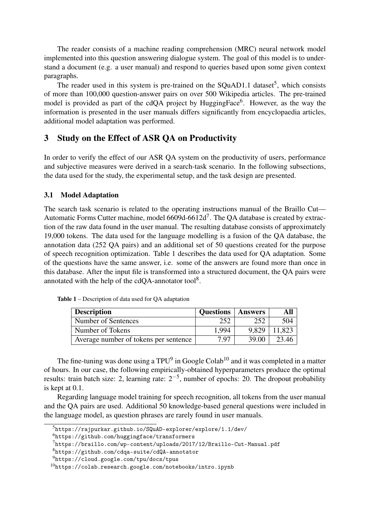The reader consists of a machine reading comprehension (MRC) neural network model implemented into this question answering dialogue system. The goal of this model is to understand a document (e.g. a user manual) and respond to queries based upon some given context paragraphs.

The reader used in this system is pre-trained on the SQuAD1.1 dataset<sup>[5](#page-2-1)</sup>, which consists of more than 100,000 question-answer pairs on over 500 Wikipedia articles. The pre-trained model is provided as part of the cdQA project by HuggingFace<sup>[6](#page-2-2)</sup>. However, as the way the information is presented in the user manuals differs significantly from encyclopaedia articles, additional model adaptation was performed.

# <span id="page-2-0"></span>3 Study on the Effect of ASR QA on Productivity

In order to verify the effect of our ASR QA system on the productivity of users, performance and subjective measures were derived in a search-task scenario. In the following subsections, the data used for the study, the experimental setup, and the task design are presented.

### <span id="page-2-8"></span>3.1 Model Adaptation

The search task scenario is related to the operating instructions manual of the Braillo Cut— Automatic Forms Cutter machine, model  $6609d - 6612d^7$  $6609d - 6612d^7$ . The QA database is created by extraction of the raw data found in the user manual. The resulting database consists of approximately 19,000 tokens. The data used for the language modelling is a fusion of the QA database, the annotation data (252 QA pairs) and an additional set of 50 questions created for the purpose of speech recognition optimization. [Table 1](#page-2-4) describes the data used for QA adaptation. Some of the questions have the same answer, i.e. some of the answers are found more than once in this database. After the input file is transformed into a structured document, the QA pairs were annotated with the help of the cdQA-annotator tool<sup>[8](#page-2-5)</sup>.

| <b>Description</b>                    | <b>Questions</b> | <b>Answers</b> |        |
|---------------------------------------|------------------|----------------|--------|
| Number of Sentences                   | 252              | 252            | 504    |
| Number of Tokens                      | 1.994            | 9.829          | 11.823 |
| Average number of tokens per sentence | 7.97             | 39.00          | 23.46  |

<span id="page-2-4"></span>Table 1 – Description of data used for QA adaptation

The fine-tuning was done using a  $TPU<sup>9</sup>$  $TPU<sup>9</sup>$  $TPU<sup>9</sup>$  in Google Colab<sup>[10](#page-2-7)</sup> and it was completed in a matter of hours. In our case, the following empirically-obtained hyperparameters produce the optimal results: train batch size: 2, learning rate:  $2^{-5}$ , number of epochs: 20. The dropout probability is kept at 0.1.

Regarding language model training for speech recognition, all tokens from the user manual and the QA pairs are used. Additional 50 knowledge-based general questions were included in the language model, as question phrases are rarely found in user manuals.

<span id="page-2-1"></span> $^5$ <https://rajpurkar.github.io/SQuAD-explorer/explore/1.1/dev/>

<span id="page-2-2"></span><sup>6</sup><https://github.com/huggingface/transformers>

<span id="page-2-3"></span><sup>7</sup><https://braillo.com/wp-content/uploads/2017/12/Braillo-Cut-Manual.pdf>

<span id="page-2-5"></span><sup>8</sup><https://github.com/cdqa-suite/cdQA-annotator>

<span id="page-2-6"></span><sup>9</sup><https://cloud.google.com/tpu/docs/tpus>

<span id="page-2-7"></span> $10$ <https://colab.research.google.com/notebooks/intro.ipynb>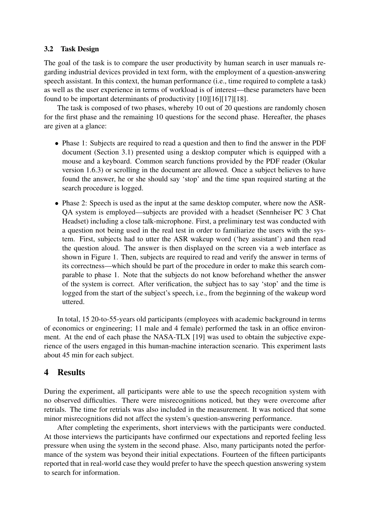### 3.2 Task Design

The goal of the task is to compare the user productivity by human search in user manuals regarding industrial devices provided in text form, with the employment of a question-answering speech assistant. In this context, the human performance (i.e., time required to complete a task) as well as the user experience in terms of workload is of interest—these parameters have been found to be important determinants of productivity [\[10\]](#page-7-1)[\[16\]](#page-7-7)[\[17\]](#page-7-8)[\[18\]](#page-7-9).

The task is composed of two phases, whereby 10 out of 20 questions are randomly chosen for the first phase and the remaining 10 questions for the second phase. Hereafter, the phases are given at a glance:

- Phase 1: Subjects are required to read a question and then to find the answer in the PDF document (Section [3.1\)](#page-2-8) presented using a desktop computer which is equipped with a mouse and a keyboard. Common search functions provided by the PDF reader (Okular version 1.6.3) or scrolling in the document are allowed. Once a subject believes to have found the answer, he or she should say 'stop' and the time span required starting at the search procedure is logged.
- Phase 2: Speech is used as the input at the same desktop computer, where now the ASR-QA system is employed—subjects are provided with a headset (Sennheiser PC 3 Chat Headset) including a close talk-microphone. First, a preliminary test was conducted with a question not being used in the real test in order to familiarize the users with the system. First, subjects had to utter the ASR wakeup word ('hey assistant') and then read the question aloud. The answer is then displayed on the screen via a web interface as shown in [Figure 1.](#page-4-0) Then, subjects are required to read and verify the answer in terms of its correctness—which should be part of the procedure in order to make this search comparable to phase 1. Note that the subjects do not know beforehand whether the answer of the system is correct. After verification, the subject has to say 'stop' and the time is logged from the start of the subject's speech, i.e., from the beginning of the wakeup word uttered.

In total, 15 20-to-55-years old participants (employees with academic background in terms of economics or engineering; 11 male and 4 female) performed the task in an office environment. At the end of each phase the NASA-TLX [\[19\]](#page-7-10) was used to obtain the subjective experience of the users engaged in this human-machine interaction scenario. This experiment lasts about 45 min for each subject.

## <span id="page-3-0"></span>4 Results

During the experiment, all participants were able to use the speech recognition system with no observed difficulties. There were misrecognitions noticed, but they were overcome after retrials. The time for retrials was also included in the measurement. It was noticed that some minor misrecognitions did not affect the system's question-answering performance.

After completing the experiments, short interviews with the participants were conducted. At those interviews the participants have confirmed our expectations and reported feeling less pressure when using the system in the second phase. Also, many participants noted the performance of the system was beyond their initial expectations. Fourteen of the fifteen participants reported that in real-world case they would prefer to have the speech question answering system to search for information.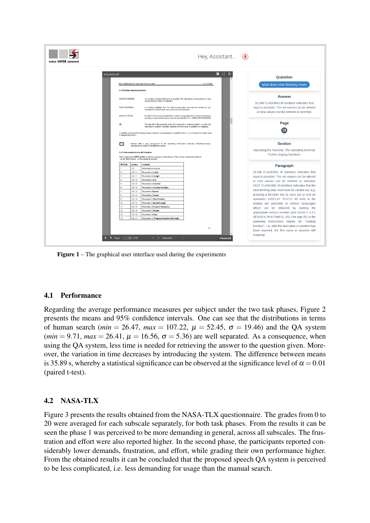<span id="page-4-0"></span>

| voice <b>INTER</b> connect |                         |                                      |                                                                                                                                                                                   | Hey, Assistant $\circledast$ |                                                                                                                                                        |
|----------------------------|-------------------------|--------------------------------------|-----------------------------------------------------------------------------------------------------------------------------------------------------------------------------------|------------------------------|--------------------------------------------------------------------------------------------------------------------------------------------------------|
|                            | png-auto.pdf            |                                      |                                                                                                                                                                                   | 團 23<br>Ŀ                    | <b>Ouestion</b>                                                                                                                                        |
|                            |                         |                                      | Mod. 6609d-6612d: Automatic Forms Cutter                                                                                                                                          | 13.12.2008                   | what does slow flashing mean                                                                                                                           |
|                            |                         |                                      |                                                                                                                                                                                   |                              |                                                                                                                                                        |
|                            |                         | 3.1.4 Further display functions      |                                                                                                                                                                                   |                              |                                                                                                                                                        |
|                            | <b>SLOW FLASHING</b>    |                                      | of numbers indicates that input is possible. The set values can be altered or new                                                                                                 |                              | Answer                                                                                                                                                 |
|                            |                         |                                      | values can be entered or selected                                                                                                                                                 |                              | SLOW FLASHING of numbers indicates that                                                                                                                |
|                            | <b>FAST FLASHING</b>    |                                      | of numbers indicates that the next working step must now be carried out, e.g.                                                                                                     |                              | input is possible. The set values can be altered                                                                                                       |
|                            |                         |                                      | pressing a function key to carry out or end an operation.                                                                                                                         |                              | or new values can be entered or selected.                                                                                                              |
|                            | <b>DISPLAY TEXTS</b>    |                                      | All texts in the display are available in verious languages which can be obtained by<br>starting the appropriate service number (see Section 3.4.1 SERVICE ROUTINES).             |                              |                                                                                                                                                        |
|                            |                         |                                      |                                                                                                                                                                                   |                              |                                                                                                                                                        |
|                            | (R)                     |                                      | The sign (R) in the operating instructions stands for "rotating function", i. e. after the<br>last value or position has been reached, the first value or position will reappear. |                              | Page                                                                                                                                                   |
|                            |                         |                                      |                                                                                                                                                                                   |                              | 15                                                                                                                                                     |
|                            | it repeats its function |                                      | In addition all keys which display several responsi ve values have a repeat function, i.e. by holding t he button down                                                            |                              |                                                                                                                                                        |
|                            |                         |                                      | Panels with a grey background in the operating instructions indicate a flashing display.<br>See above for notes on the flashing speed.                                            |                              | Section                                                                                                                                                |
|                            |                         |                                      |                                                                                                                                                                                   |                              | Operating the machine. The operating terminal.                                                                                                         |
|                            |                         | 3.1.5 Information to the INFO-button |                                                                                                                                                                                   |                              | Further display functions                                                                                                                              |
|                            |                         |                                      | After pressing the INFO-button a number appears on the display. This number represents sections<br>- as the table shows - in the operating manual.                                |                              |                                                                                                                                                        |
|                            | INFO-Nr.                | section                              | contents                                                                                                                                                                          |                              | Paragraph                                                                                                                                              |
|                            |                         | 2.2                                  | Solecting the program                                                                                                                                                             |                              |                                                                                                                                                        |
|                            |                         | 3.3.1.1                              | Parameter a) Label                                                                                                                                                                |                              | SLOW FLASHING of numbers indicates that                                                                                                                |
|                            |                         | 3.2.1.1                              | Parameter b) Length                                                                                                                                                               |                              | input is possible. The set values can be altered                                                                                                       |
|                            |                         | 3.2.1.3                              | Parameter c) Cut                                                                                                                                                                  |                              | or new values can be entered or selected.                                                                                                              |
|                            |                         | 3.2.1.4                              | Parameter d) Counter                                                                                                                                                              |                              | FAST FLASHING of numbers indicates that the                                                                                                            |
|                            |                         | 3.2.1.5<br>3.3.1.2                   | Parameter e) Counter Function<br>Parameter f) Speed                                                                                                                               |                              | next working step must now be carried out, e.g.                                                                                                        |
|                            |                         | 3.3.1.3                              | Parameter g) Pause                                                                                                                                                                |                              | pressing a function key to carry out or end an                                                                                                         |
|                            |                         | 3.3.1.4                              | Parameter h) Fine Position                                                                                                                                                        |                              | operation. DISPLAY TEXTS: All texts in the                                                                                                             |
|                            | 10                      | 3.2.1.2                              | Parameter i) Special Length                                                                                                                                                       |                              | display are available in various languages                                                                                                             |
|                            | 11                      | 3.2.1.2                              | Parameter  ) Program Sequence                                                                                                                                                     |                              |                                                                                                                                                        |
|                            | 12                      | 3.3.1.5                              | Parameter k) Reader                                                                                                                                                               |                              | which can be obtained by starting the                                                                                                                  |
|                            |                         | 3.3.1.6                              | Parameter I) Copy                                                                                                                                                                 |                              | appropriate service number (see Sectio n 3.4.1                                                                                                         |
|                            | 13                      |                                      |                                                                                                                                                                                   |                              | SERVICE ROUTINES). (R): The sign (R) in the                                                                                                            |
|                            | 14                      | 3.3.1.7                              | Parameter m) Programming the fold length                                                                                                                                          |                              |                                                                                                                                                        |
|                            |                         |                                      |                                                                                                                                                                                   |                              |                                                                                                                                                        |
|                            |                         |                                      |                                                                                                                                                                                   |                              |                                                                                                                                                        |
|                            |                         |                                      |                                                                                                                                                                                   | $-15-$                       | operating instructions stands for "rotating<br>function", i. e. after the last value or position has<br>been reached, the first value or position will |

Figure 1 – The graphical user interface used during the experiments

### 4.1 Performance

Regarding the average performance measures per subject under the two task phases, [Figure 2](#page-5-0) presents the means and 95% confidence intervals. One can see that the distributions in terms of human search (*min* = 26.47, *max* = 107.22,  $\mu$  = 52.45,  $\sigma$  = 19.46) and the QA system  $(min = 9.71, max = 26.41, \mu = 16.56, \sigma = 5.36)$  are well separated. As a consequence, when using the QA system, less time is needed for retrieving the answer to the question given. Moreover, the variation in time decreases by introducing the system. The difference between means is 35.89 s, whereby a statistical significance can be observed at the significance level of  $\alpha = 0.01$ (paired t-test).

## 4.2 NASA-TLX

[Figure 3](#page-5-1) presents the results obtained from the NASA-TLX questionnaire. The grades from 0 to 20 were averaged for each subscale separately, for both task phases. From the results it can be seen the phase 1 was perceived to be more demanding in general, across all subscales. The frustration and effort were also reported higher. In the second phase, the participants reported considerably lower demands, frustration, and effort, while grading their own performance higher. From the obtained results it can be concluded that the proposed speech QA system is perceived to be less complicated, i.e. less demanding for usage than the manual search.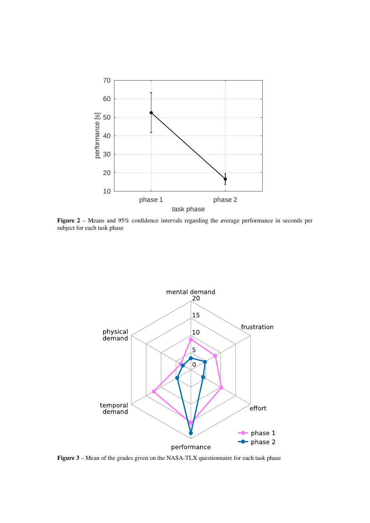<span id="page-5-0"></span>

Figure 2 – Means and 95% confidence intervals regarding the average performance in seconds per subject for each task phase

<span id="page-5-1"></span>

Figure 3 – Mean of the grades given on the NASA-TLX questionnaire for each task phase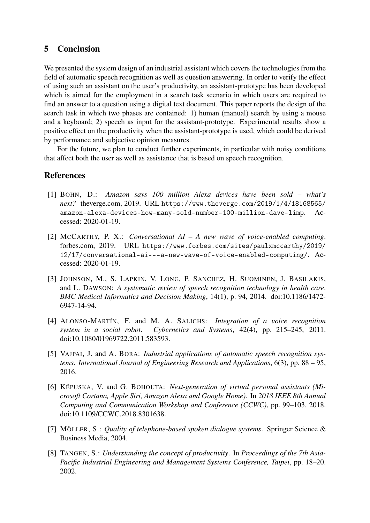# <span id="page-6-8"></span>5 Conclusion

We presented the system design of an industrial assistant which covers the technologies from the field of automatic speech recognition as well as question answering. In order to verify the effect of using such an assistant on the user's productivity, an assistant-prototype has been developed which is aimed for the employment in a search task scenario in which users are required to find an answer to a question using a digital text document. This paper reports the design of the search task in which two phases are contained: 1) human (manual) search by using a mouse and a keyboard; 2) speech as input for the assistant-prototype. Experimental results show a positive effect on the productivity when the assistant-prototype is used, which could be derived by performance and subjective opinion measures.

For the future, we plan to conduct further experiments, in particular with noisy conditions that affect both the user as well as assistance that is based on speech recognition.

## References

- <span id="page-6-0"></span>[1] BOHN, D.: *Amazon says 100 million Alexa devices have been sold – what's next?* theverge.com, 2019. URL [https://www.theverge.com/2019/1/4/18168565/](https://www.theverge.com/2019/1/4/18168565/amazon-alexa-devices-how-many-sold-number-100-million-dave-limp) [amazon-alexa-devices-how-many-sold-number-100-million-dave-limp](https://www.theverge.com/2019/1/4/18168565/amazon-alexa-devices-how-many-sold-number-100-million-dave-limp). Accessed: 2020-01-19.
- <span id="page-6-1"></span>[2] MCCARTHY, P. X.: *Conversational AI – A new wave of voice-enabled computing*. forbes.com, 2019. URL [https://www.forbes.com/sites/paulxmccarthy/2019/](https://www.forbes.com/sites/paulxmccarthy/2019/12/17/conversational-ai---a-new-wave-of-voice-enabled-computing/) [12/17/conversational-ai---a-new-wave-of-voice-enabled-computing/](https://www.forbes.com/sites/paulxmccarthy/2019/12/17/conversational-ai---a-new-wave-of-voice-enabled-computing/). Accessed: 2020-01-19.
- <span id="page-6-2"></span>[3] JOHNSON, M., S. LAPKIN, V. LONG, P. SANCHEZ, H. SUOMINEN, J. BASILAKIS, and L. DAWSON: *A systematic review of speech recognition technology in health care*. *BMC Medical Informatics and Decision Making*, 14(1), p. 94, 2014. doi[:10.1186/1472-](http://dx.doi.org/10.1186/1472-6947-14-94) [6947-14-94.](http://dx.doi.org/10.1186/1472-6947-14-94)
- <span id="page-6-3"></span>[4] ALONSO-MARTÍN, F. and M. A. SALICHS: *Integration of a voice recognition system in a social robot*. *Cybernetics and Systems*, 42(4), pp. 215–245, 2011. doi[:10.1080/01969722.2011.583593.](http://dx.doi.org/10.1080/01969722.2011.583593)
- <span id="page-6-4"></span>[5] VAJPAI, J. and A. BORA: *Industrial applications of automatic speech recognition systems*. *International Journal of Engineering Research and Applications*, 6(3), pp. 88 – 95, 2016.
- <span id="page-6-5"></span>[6] KËPUSKA, V. and G. BOHOUTA: *Next-generation of virtual personal assistants (Microsoft Cortana, Apple Siri, Amazon Alexa and Google Home)*. In *2018 IEEE 8th Annual Computing and Communication Workshop and Conference (CCWC)*, pp. 99–103. 2018. doi[:10.1109/CCWC.2018.8301638.](http://dx.doi.org/10.1109/CCWC.2018.8301638)
- <span id="page-6-6"></span>[7] MÖLLER, S.: *Quality of telephone-based spoken dialogue systems*. Springer Science & Business Media, 2004.
- <span id="page-6-7"></span>[8] TANGEN, S.: *Understanding the concept of productivity*. In *Proceedings of the 7th Asia-Pacific Industrial Engineering and Management Systems Conference, Taipei*, pp. 18–20. 2002.